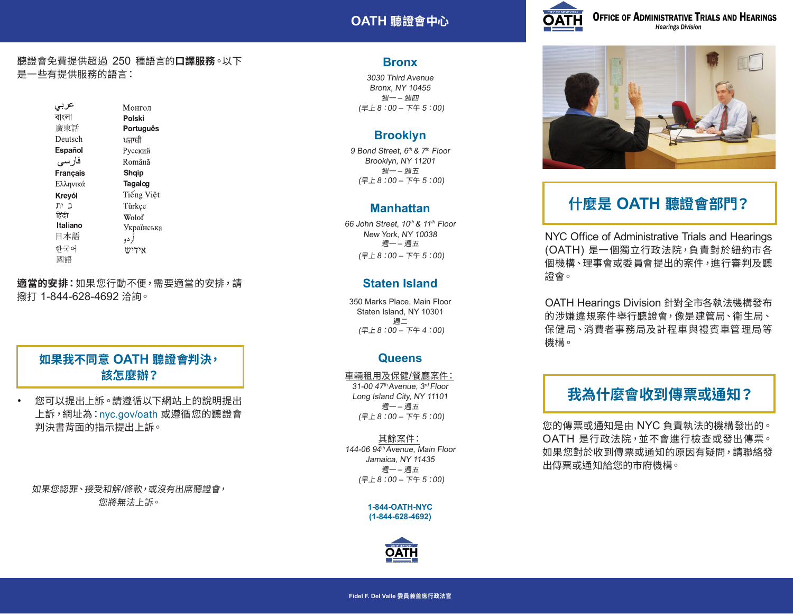## **OATH 聽證會中心**



**OFFICE OF ADMINISTRATIVE TRIALS AND HEARINGS Hearings Division** 

#### 聽證會免費提供超過 250 種語言的**口譯服務**。以下 是一些有提供服務的語言:

عربى Монгол বাংলা Polski 廣東話 Português Deutsch ਪਜਾਬੀ Español Русский فار سی Română Français Shqip Ελληνικά Tagalog Tiếng Việt Krevól ב ית Türkce हिंदी Wolof **Italiano** Українська 日本語 أردو 하국어  $W$ ידי 國語

**適當的安排:**如果您行動不便,需要適當的安排,請 撥打 1-844-628-4692 洽詢。

## **如果我不同意 OATH 聽證會判決, 該怎麼辦?**

• 您可以提出上訴。請遵循以下網站上的說明提出 上訴,網址為:nyc.gov/oath 或遵循您的聽證會 判決書背面的指示提出上訴。

如果您認罪、接受和解/條款,或沒有出席聽證會, 您將無法上訴。

### **Bronx**

3030 Third Avenue Bronx, NY 10455 週一 – 週四 (早上 8:00 – 下午 5:00)

## **Brooklyn**

9 Bond Street, *6th & 7th* Floor Brooklyn, NY 11201 週一 – 週五 (早上 8:00 – 下午 5:00)

### **Manhattan**

66 John Street, *10th & 11th* Floor New York, NY 10038 週一 – 週五 (早上 8:00 – 下午 5:00)

## **Staten Island**

350 Marks Place, Main Floor Staten Island, NY 10301 週二 (早上 8:00 – 下午 4:00)

## **Queens**

#### 車輛租用及保健/餐廳案件:

31-00 47<sup>th</sup> Avenue, 3<sup>rd</sup> Floor Long Island City, NY 11101 週一 – 週五 (早上 8:00 – 下午 5:00)

#### 其餘案件: 144-06 94<sup>th</sup> Avenue, Main Floor Jamaica, NY 11435 週一 – 週五 (早上 8:00 – 下午 5:00)

**1-844-OATH-NYC (1-844-628-4692)**





# **什麼是 OATH 聽證會部門?**

NYC Office of Administrative Trials and Hearings (OATH) 是一個獨立行政法院,負責對於紐約市各 個機構、理事會或委員會提出的案件,進行審判及聽 證會。

OATH Hearings Division 針對全市各執法機構發布 的涉嫌違規案件舉行聽證會,像是建管局、衛生局、 保健局、消費者事務局及計程車與禮賓車管理局等 機構。

# **我為什麼會收到傳票或通知?**

您的傳票或通知是由 NYC 負責執法的機構發出的。 OATH 是行政法院,並不會進行檢查或發出傳票。 如果您對於收到傳票或通知的原因有疑問,請聯絡發 出傳票或通知給您的市府機構。